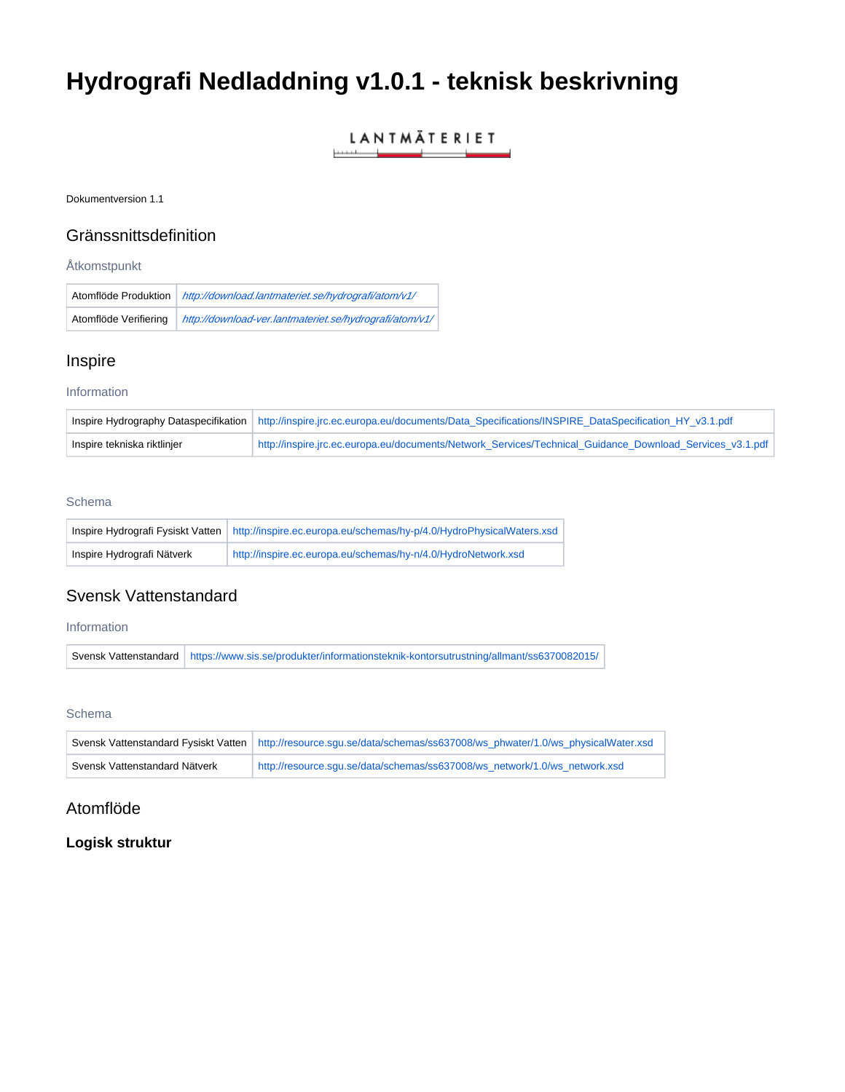# **Hydrografi Nedladdning v1.0.1 - teknisk beskrivning**

#### LANTMÄTERIET \_\_

Dokumentversion 1.1

## Gränssnittsdefinition

## Åtkomstpunkt

| Atomflöde Produktion  | http://download.lantmateriet.se/hydrografi/atom/v1/     |
|-----------------------|---------------------------------------------------------|
| Atomflöde Verifiering | http://download-ver.lantmateriet.se/hydrografi/atom/v1/ |

# Inspire

## Information

|                             | Inspire Hydrography Dataspecifikation   http://inspire.jrc.ec.europa.eu/documents/Data_Specifications/INSPIRE_DataSpecification_HY_v3.1.pdf |
|-----------------------------|---------------------------------------------------------------------------------------------------------------------------------------------|
| Inspire tekniska riktlinjer | http://inspire.jrc.ec.europa.eu/documents/Network Services/Technical Guidance Download Services v3.1.pdf                                    |

## Schema

|                            | Inspire Hydrografi Fysiskt Vatten   http://inspire.ec.europa.eu/schemas/hy-p/4.0/HydroPhysicalWaters.xsd |
|----------------------------|----------------------------------------------------------------------------------------------------------|
| Inspire Hydrografi Nätverk | http://inspire.ec.europa.eu/schemas/hy-n/4.0/HydroNetwork.xsd                                            |

# Svensk Vattenstandard

## Information

Svensk Vattenstandard <https://www.sis.se/produkter/informationsteknik-kontorsutrustning/allmant/ss6370082015/>

## **Schema**

|                               | Svensk Vattenstandard Fysiskt Vatten   http://resource.squ.se/data/schemas/ss637008/ws_phwater/1.0/ws_physicalWater.xsd |
|-------------------------------|-------------------------------------------------------------------------------------------------------------------------|
| Svensk Vattenstandard Nätverk | http://resource.squ.se/data/schemas/ss637008/ws_network/1.0/ws_network.xsd                                              |

# Atomflöde

# **Logisk struktur**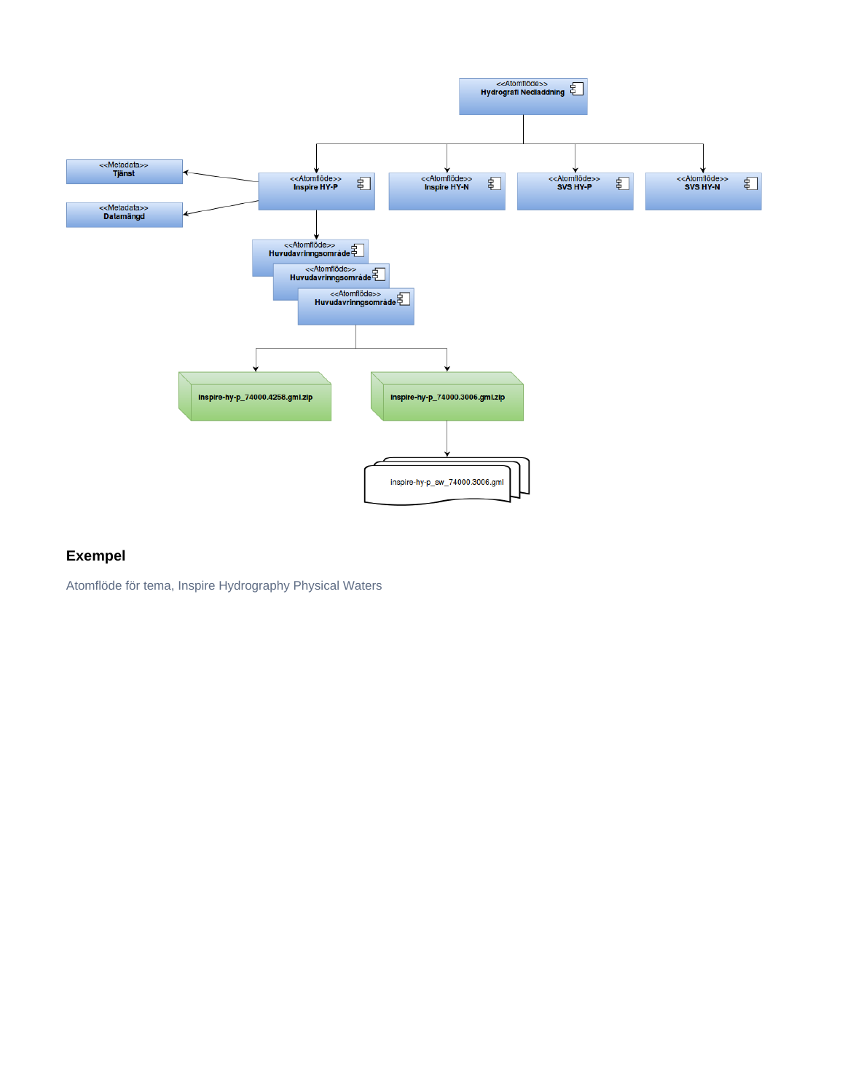

# **Exempel**

Atomflöde för tema, Inspire Hydrography Physical Waters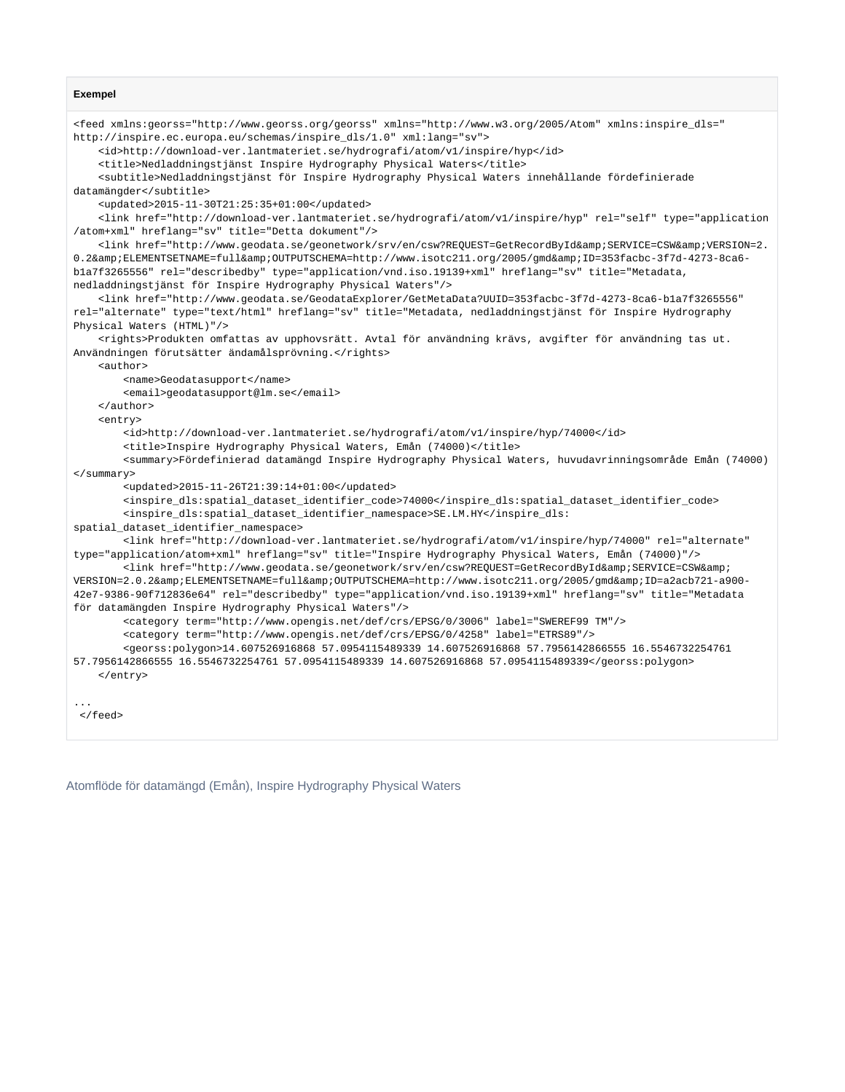#### **Exempel**

```
<feed xmlns:georss="http://www.georss.org/georss" xmlns="http://www.w3.org/2005/Atom" xmlns:inspire_dls="
http://inspire.ec.europa.eu/schemas/inspire_dls/1.0" xml:lang="sv">
     <id>http://download-ver.lantmateriet.se/hydrografi/atom/v1/inspire/hyp</id>
    <title>Nedladdningstjänst Inspire Hydrography Physical Waters</title>
     <subtitle>Nedladdningstjänst för Inspire Hydrography Physical Waters innehållande fördefinierade 
datamängder</subtitle>
    <updated>2015-11-30T21:25:35+01:00</updated>
     <link href="http://download-ver.lantmateriet.se/hydrografi/atom/v1/inspire/hyp" rel="self" type="application
/atom+xml" hreflang="sv" title="Detta dokument"/>
   <link href="http://www.geodata.se/geonetwork/srv/en/csw?REQUEST=GetRecordById&amp;SERVICE=CSW&amp;VERSION=2.
0.2&ELEMENTSETNAME=full&OUTPUTSCHEMA=http://www.isotc211.org/2005/gmd&ID=353facbc-3f7d-4273-8ca6-
b1a7f3265556" rel="describedby" type="application/vnd.iso.19139+xml" hreflang="sv" title="Metadata, 
nedladdningstjänst för Inspire Hydrography Physical Waters"/>
     <link href="http://www.geodata.se/GeodataExplorer/GetMetaData?UUID=353facbc-3f7d-4273-8ca6-b1a7f3265556" 
rel="alternate" type="text/html" hreflang="sv" title="Metadata, nedladdningstjänst för Inspire Hydrography 
Physical Waters (HTML)"/>
     <rights>Produkten omfattas av upphovsrätt. Avtal för användning krävs, avgifter för användning tas ut. 
Användningen förutsätter ändamålsprövning.</rights>
    <author>
        <name>Geodatasupport</name>
         <email>geodatasupport@lm.se</email>
    </author>
     <entry>
        <id>http://download-ver.lantmateriet.se/hydrografi/atom/v1/inspire/hyp/74000</id>
         <title>Inspire Hydrography Physical Waters, Emån (74000)</title>
        <summary>Fördefinierad datamängd Inspire Hydrography Physical Waters, huvudavrinningsområde Emån (74000)
</summary>
         <updated>2015-11-26T21:39:14+01:00</updated>
        <inspire_dls:spatial_dataset_identifier_code>74000</inspire_dls:spatial_dataset_identifier_code>
        <inspire_dls:spatial_dataset_identifier_namespace>SE.LM.HY</inspire_dls:
spatial dataset identifier namespace>
        <link href="http://download-ver.lantmateriet.se/hydrografi/atom/v1/inspire/hyp/74000" rel="alternate" 
type="application/atom+xml" hreflang="sv" title="Inspire Hydrography Physical Waters, Emån (74000)"/>
        <link href="http://www.geodata.se/geonetwork/srv/en/csw?REQUEST=GetRecordById&amp;SERVICE=CSW&amp;
VERSION=2.0.2&ELEMENTSETNAME=full&OUTPUTSCHEMA=http://www.isotc211.org/2005/gmd&ID=a2acb721-a900-
42e7-9386-90f712836e64" rel="describedby" type="application/vnd.iso.19139+xml" hreflang="sv" title="Metadata 
för datamängden Inspire Hydrography Physical Waters"/>
         <category term="http://www.opengis.net/def/crs/EPSG/0/3006" label="SWEREF99 TM"/>
         <category term="http://www.opengis.net/def/crs/EPSG/0/4258" label="ETRS89"/>
         <georss:polygon>14.607526916868 57.0954115489339 14.607526916868 57.7956142866555 16.5546732254761 
57.7956142866555 16.5546732254761 57.0954115489339 14.607526916868 57.0954115489339</georss:polygon>
   \epsilon/entrys
...
 </feed>
```
Atomflöde för datamängd (Emån), Inspire Hydrography Physical Waters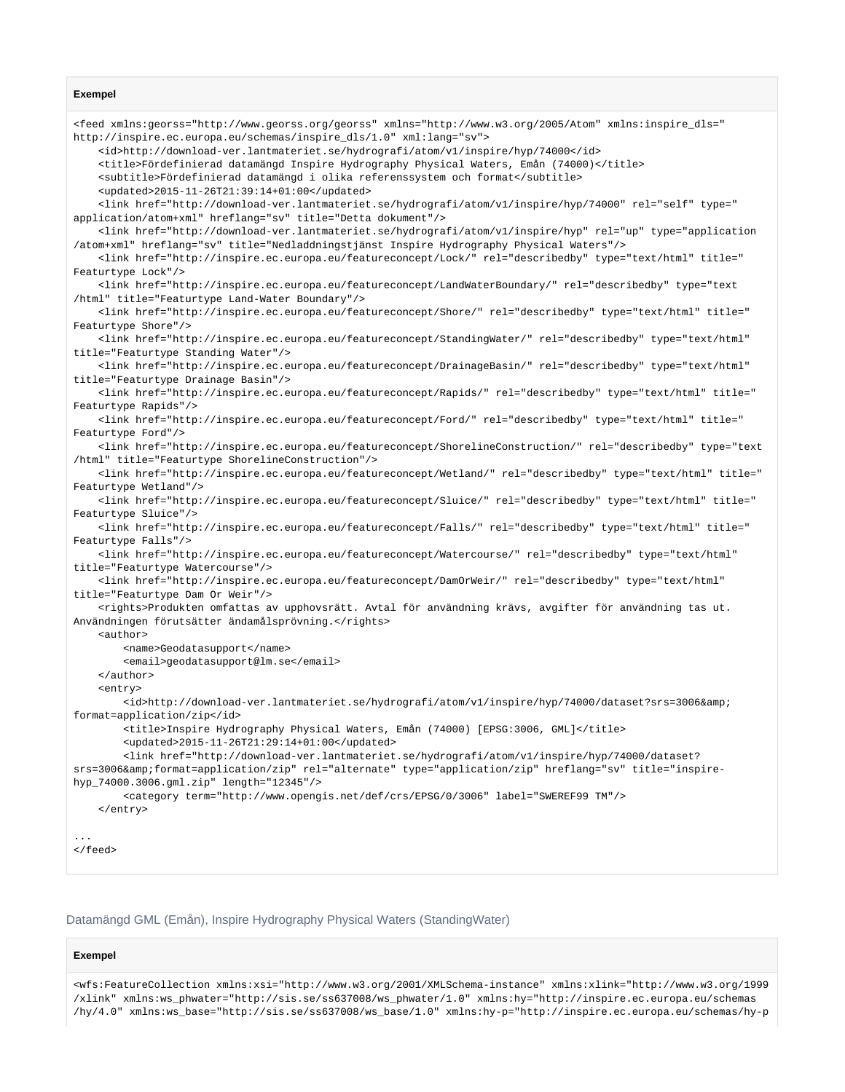#### **Exempel**

<feed xmlns:georss="http://www.georss.org/georss" xmlns="http://www.w3.org/2005/Atom" xmlns:inspire\_dls=" http://inspire.ec.europa.eu/schemas/inspire\_dls/1.0" xml:lang="sv"> <id>http://download-ver.lantmateriet.se/hydrografi/atom/v1/inspire/hyp/74000</id> <title>Fördefinierad datamängd Inspire Hydrography Physical Waters, Emån (74000)</title> <subtitle>Fördefinierad datamängd i olika referenssystem och format</subtitle> <updated>2015-11-26T21:39:14+01:00</updated> <link href="http://download-ver.lantmateriet.se/hydrografi/atom/v1/inspire/hyp/74000" rel="self" type=" application/atom+xml" hreflang="sv" title="Detta dokument"/> <link href="http://download-ver.lantmateriet.se/hydrografi/atom/v1/inspire/hyp" rel="up" type="application /atom+xml" hreflang="sv" title="Nedladdningstjänst Inspire Hydrography Physical Waters"/> <link href="http://inspire.ec.europa.eu/featureconcept/Lock/" rel="describedby" type="text/html" title=" Featurtype Lock"/> <link href="http://inspire.ec.europa.eu/featureconcept/LandWaterBoundary/" rel="describedby" type="text /html" title="Featurtype Land-Water Boundary"/> <link href="http://inspire.ec.europa.eu/featureconcept/Shore/" rel="describedby" type="text/html" title=" Featurtype Shore"/> <link href="http://inspire.ec.europa.eu/featureconcept/StandingWater/" rel="describedby" type="text/html" title="Featurtype Standing Water"/> <link href="http://inspire.ec.europa.eu/featureconcept/DrainageBasin/" rel="describedby" type="text/html" title="Featurtype Drainage Basin"/> <link href="http://inspire.ec.europa.eu/featureconcept/Rapids/" rel="describedby" type="text/html" title=" Featurtype Rapids"/> <link href="http://inspire.ec.europa.eu/featureconcept/Ford/" rel="describedby" type="text/html" title=" Featurtype Ford"/> <link href="http://inspire.ec.europa.eu/featureconcept/ShorelineConstruction/" rel="describedby" type="text /html" title="Featurtype ShorelineConstruction"/> <link href="http://inspire.ec.europa.eu/featureconcept/Wetland/" rel="describedby" type="text/html" title=" Featurtype Wetland"/> <link href="http://inspire.ec.europa.eu/featureconcept/Sluice/" rel="describedby" type="text/html" title=" Featurtype Sluice"/> <link href="http://inspire.ec.europa.eu/featureconcept/Falls/" rel="describedby" type="text/html" title=" Featurtype Falls"/> <link href="http://inspire.ec.europa.eu/featureconcept/Watercourse/" rel="describedby" type="text/html" title="Featurtype Watercourse"/> <link href="http://inspire.ec.europa.eu/featureconcept/DamOrWeir/" rel="describedby" type="text/html" title="Featurtype Dam Or Weir"/> <rights>Produkten omfattas av upphovsrätt. Avtal för användning krävs, avgifter för användning tas ut. Användningen förutsätter ändamålsprövning.</rights> <author> <name>Geodatasupport</name> <email>geodatasupport@lm.se</email> </author> <entry> <id>http://download-ver.lantmateriet.se/hydrografi/atom/v1/inspire/hyp/74000/dataset?srs=3006&amp; format=application/zip</id> <title>Inspire Hydrography Physical Waters, Emån (74000) [EPSG:3006, GML]</title> <updated>2015-11-26T21:29:14+01:00</updated> <link href="http://download-ver.lantmateriet.se/hydrografi/atom/v1/inspire/hyp/74000/dataset? srs=3006&format=application/zip" rel="alternate" type="application/zip" hreflang="sv" title="inspirehyp\_74000.3006.gml.zip" length="12345"/> <category term="http://www.opengis.net/def/crs/EPSG/0/3006" label="SWEREF99 TM"/> </entry> ... </feed>

#### Datamängd GML (Emån), Inspire Hydrography Physical Waters (StandingWater)

#### **Exempel**

<wfs:FeatureCollection xmlns:xsi="http://www.w3.org/2001/XMLSchema-instance" xmlns:xlink="http://www.w3.org/1999 /xlink" xmlns:ws\_phwater="http://sis.se/ss637008/ws\_phwater/1.0" xmlns:hy="http://inspire.ec.europa.eu/schemas /hy/4.0" xmlns:ws\_base="http://sis.se/ss637008/ws\_base/1.0" xmlns:hy-p="http://inspire.ec.europa.eu/schemas/hy-p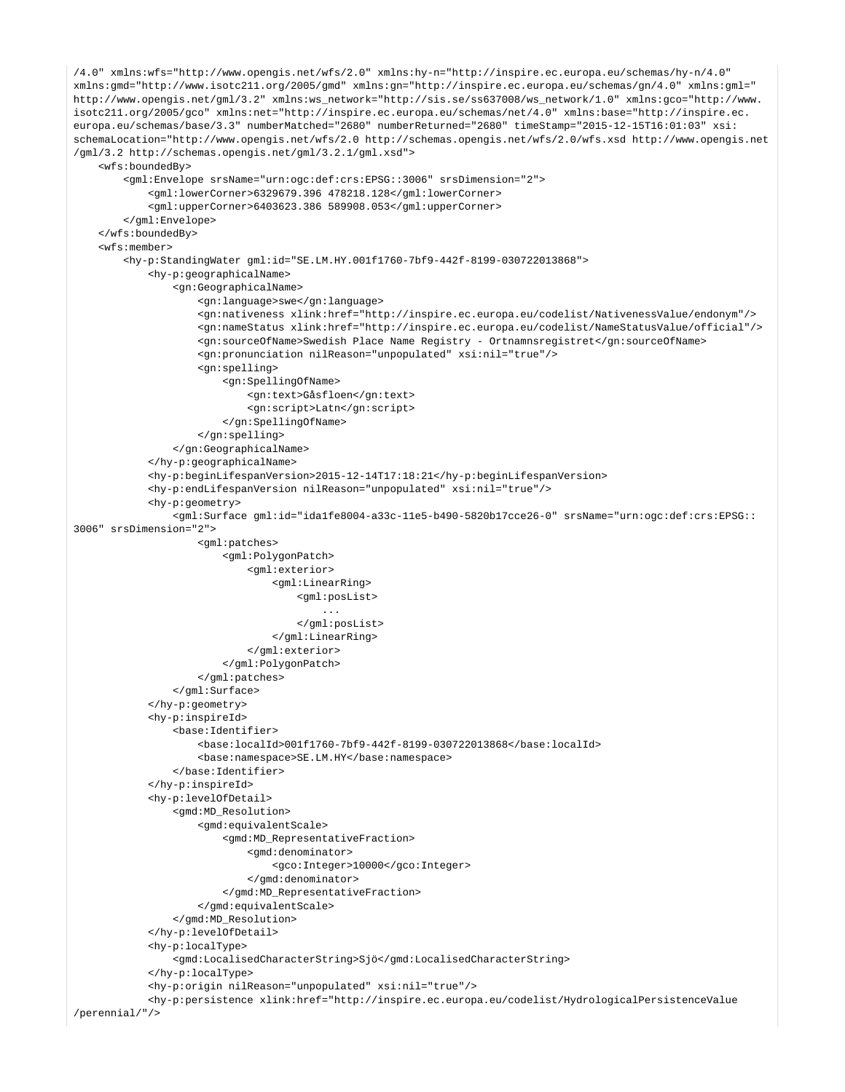```
/4.0" xmlns:wfs="http://www.opengis.net/wfs/2.0" xmlns:hy-n="http://inspire.ec.europa.eu/schemas/hy-n/4.0" 
xmlns:gmd="http://www.isotc211.org/2005/gmd" xmlns:gn="http://inspire.ec.europa.eu/schemas/gn/4.0" xmlns:gml="
http://www.opengis.net/gml/3.2" xmlns:ws_network="http://sis.se/ss637008/ws_network/1.0" xmlns:gco="http://www.
isotc211.org/2005/gco" xmlns:net="http://inspire.ec.europa.eu/schemas/net/4.0" xmlns:base="http://inspire.ec.
europa.eu/schemas/base/3.3" numberMatched="2680" numberReturned="2680" timeStamp="2015-12-15T16:01:03" xsi:
schemaLocation="http://www.opengis.net/wfs/2.0 http://schemas.opengis.net/wfs/2.0/wfs.xsd http://www.opengis.net
/gml/3.2 http://schemas.opengis.net/gml/3.2.1/gml.xsd">
     <wfs:boundedBy>
         <gml:Envelope srsName="urn:ogc:def:crs:EPSG::3006" srsDimension="2">
             <gml:lowerCorner>6329679.396 478218.128</gml:lowerCorner>
             <gml:upperCorner>6403623.386 589908.053</gml:upperCorner>
         </gml:Envelope>
     </wfs:boundedBy>
     <wfs:member>
         <hy-p:StandingWater gml:id="SE.LM.HY.001f1760-7bf9-442f-8199-030722013868">
             <hy-p:geographicalName>
                 <gn:GeographicalName>
                     <gn:language>swe</gn:language>
                     <gn:nativeness xlink:href="http://inspire.ec.europa.eu/codelist/NativenessValue/endonym"/>
                     <gn:nameStatus xlink:href="http://inspire.ec.europa.eu/codelist/NameStatusValue/official"/>
                     <gn:sourceOfName>Swedish Place Name Registry - Ortnamnsregistret</gn:sourceOfName>
                     <gn:pronunciation nilReason="unpopulated" xsi:nil="true"/>
                     <gn:spelling>
                         <gn:SpellingOfName>
                             <gn:text>Gåsfloen</gn:text>
                             <gn:script>Latn</gn:script>
                         </gn:SpellingOfName>
                     </gn:spelling>
                 </gn:GeographicalName>
             </hy-p:geographicalName>
             <hy-p:beginLifespanVersion>2015-12-14T17:18:21</hy-p:beginLifespanVersion>
             <hy-p:endLifespanVersion nilReason="unpopulated" xsi:nil="true"/>
             <hy-p:geometry>
                 <gml:Surface gml:id="ida1fe8004-a33c-11e5-b490-5820b17cce26-0" srsName="urn:ogc:def:crs:EPSG::
3006" srsDimension="2">
                     <gml:patches>
                         <gml:PolygonPatch>
                             <gml:exterior>
                                 <gml:LinearRing>
                                     <gml:posList>
 ...
                                     </gml:posList>
                                 </gml:LinearRing>
                             </gml:exterior>
                         </gml:PolygonPatch>
                     </gml:patches>
                 </gml:Surface>
             </hy-p:geometry>
             <hy-p:inspireId>
                 <base:Identifier>
                     <base:localId>001f1760-7bf9-442f-8199-030722013868</base:localId>
                     <base:namespace>SE.LM.HY</base:namespace>
                 </base:Identifier>
             </hy-p:inspireId>
             <hy-p:levelOfDetail>
                 <gmd:MD_Resolution>
                     <gmd:equivalentScale>
                         <gmd:MD_RepresentativeFraction>
                             <gmd:denominator>
                                  <gco:Integer>10000</gco:Integer>
                             </gmd:denominator>
                         </gmd:MD_RepresentativeFraction>
                     </gmd:equivalentScale>
                 </gmd:MD_Resolution>
             </hy-p:levelOfDetail>
             <hy-p:localType>
                 <gmd:LocalisedCharacterString>Sjö</gmd:LocalisedCharacterString>
             </hy-p:localType>
             <hy-p:origin nilReason="unpopulated" xsi:nil="true"/>
             <hy-p:persistence xlink:href="http://inspire.ec.europa.eu/codelist/HydrologicalPersistenceValue
/perennial/"/>
```